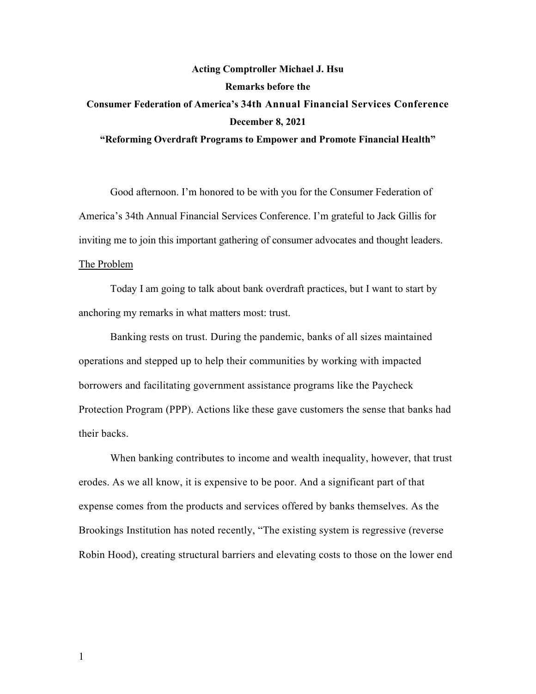# **Acting Comptroller Michael J. Hsu Remarks before the Consumer Federation of America's 34th Annual Financial Services Conference December 8, 2021 "Reforming Overdraft Programs to Empower and Promote Financial Health"**

Good afternoon. I'm honored to be with you for the Consumer Federation of America's 34th Annual Financial Services Conference. I'm grateful to Jack Gillis for inviting me to join this important gathering of consumer advocates and thought leaders. The Problem

Today I am going to talk about bank overdraft practices, but I want to start by anchoring my remarks in what matters most: trust.

Banking rests on trust. During the pandemic, banks of all sizes maintained operations and stepped up to help their communities by working with impacted borrowers and facilitating government assistance programs like the Paycheck Protection Program (PPP). Actions like these gave customers the sense that banks had their backs.

When banking contributes to income and wealth inequality, however, that trust erodes. As we all know, it is expensive to be poor. And a significant part of that expense comes from the products and services offered by banks themselves. As the Brookings Institution has noted recently, "The existing system is regressive (reverse Robin Hood), creating structural barriers and elevating costs to those on the lower end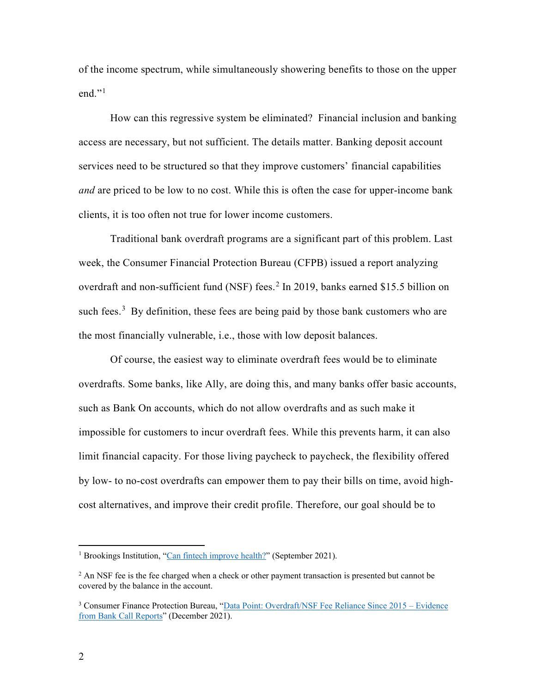of the income spectrum, while simultaneously showering benefits to those on the upper end." $^1$  $^1$ 

How can this regressive system be eliminated? Financial inclusion and banking access are necessary, but not sufficient. The details matter. Banking deposit account services need to be structured so that they improve customers' financial capabilities *and* are priced to be low to no cost. While this is often the case for upper-income bank clients, it is too often not true for lower income customers.

Traditional bank overdraft programs are a significant part of this problem. Last week, the Consumer Financial Protection Bureau (CFPB) issued a report analyzing overdraft and non-sufficient fund (NSF) fees.<sup>[2](#page-1-1)</sup> In 2019, banks earned \$15.5 billion on such fees.<sup>[3](#page-1-2)</sup> By definition, these fees are being paid by those bank customers who are the most financially vulnerable, i.e., those with low deposit balances.

Of course, the easiest way to eliminate overdraft fees would be to eliminate overdrafts. Some banks, like Ally, are doing this, and many banks offer basic accounts, such as Bank On accounts, which do not allow overdrafts and as such make it impossible for customers to incur overdraft fees. While this prevents harm, it can also limit financial capacity. For those living paycheck to paycheck, the flexibility offered by low- to no-cost overdrafts can empower them to pay their bills on time, avoid highcost alternatives, and improve their credit profile. Therefore, our goal should be to

<span id="page-1-0"></span><sup>&</sup>lt;sup>1</sup> Brookings Institution, ["Can fintech improve health?"](https://www.brookings.edu/wp-content/uploads/2021/09/20210922_Klein_Can_fintech_improve_health.pdf) (September 2021).

<span id="page-1-1"></span> $<sup>2</sup>$  An NSF fee is the fee charged when a check or other payment transaction is presented but cannot be</sup> covered by the balance in the account.

<span id="page-1-2"></span><sup>&</sup>lt;sup>3</sup> Consumer Finance Protection Bureau, ["Data Point: Overdraft/NSF Fee Reliance Since 2015 –](https://files.consumerfinance.gov/f/documents/cfpb_overdraft-call_report_2021-12.pdf) Evidence [from Bank Call Reports"](https://files.consumerfinance.gov/f/documents/cfpb_overdraft-call_report_2021-12.pdf) (December 2021).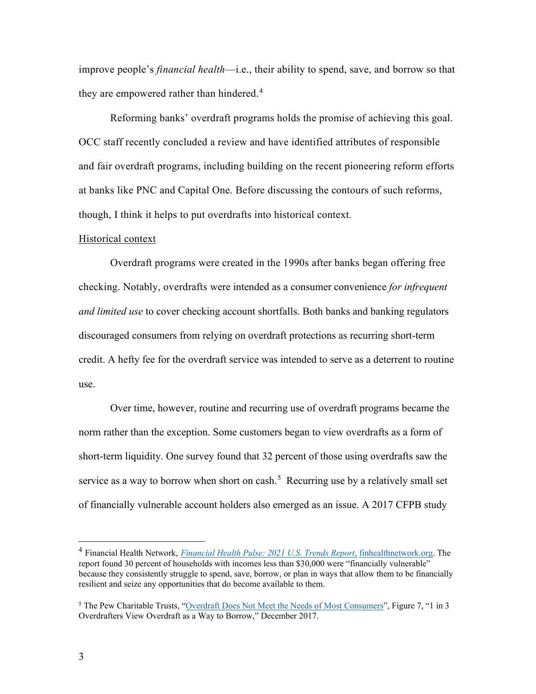improve people's *financial health*—i.e., their ability to spend, save, and borrow so that they are empowered rather than hindered.<sup>[4](#page-2-0)</sup>

Reforming banks' overdraft programs holds the promise of achieving this goal. OCC staff recently concluded a review and have identified attributes of responsible and fair overdraft programs, including building on the recent pioneering reform efforts at banks like PNC and Capital One. Before discussing the contours of such reforms, though, I think it helps to put overdrafts into historical context.

#### Historical context

Overdraft programs were created in the 1990s after banks began offering free checking. Notably, overdrafts were intended as a consumer convenience *for infrequent and limited use* to cover checking account shortfalls. Both banks and banking regulators discouraged consumers from relying on overdraft protections as recurring short-term credit. A hefty fee for the overdraft service was intended to serve as a deterrent to routine use.

Over time, however, routine and recurring use of overdraft programs became the norm rather than the exception. Some customers began to view overdrafts as a form of short-term liquidity. One survey found that 32 percent of those using overdrafts saw the service as a way to borrow when short on cash.<sup>[5](#page-2-1)</sup> Recurring use by a relatively small set of financially vulnerable account holders also emerged as an issue. A 2017 CFPB study

<span id="page-2-0"></span><sup>4</sup> Financial Health Network, *[Financial Health Pulse: 2021 U.S. Trends Report](https://finhealthnetwork.org/research/financial-health-pulse-2021-u-s-trends/)*, [finhealthnetwork.org.](https://finhealthnetwork.org/) The report found 30 percent of households with incomes less than \$30,000 were "financially vulnerable" because they consistently struggle to spend, save, borrow, or plan in ways that allow them to be financially resilient and seize any opportunities that do become available to them.

<span id="page-2-1"></span><sup>5</sup> The Pew Charitable Trusts, ["Overdraft Does Not Meet the Needs of Most Consumers"](https://www.pewtrusts.org/en/research-and-analysis/issue-briefs/2017/12/overdraft-does-not-meet-the-needs-of-most-consumers#:%7E:text=Most%20of%20the%20heavy%20overdrafters,transactions%20declined%20at%20no%20cost.&text=Fewer%20than%2030%20percent%20of,bank%20in%20the%20past%20year.), Figure 7, "1 in 3 Overdrafters View Overdraft as a Way to Borrow," December 2017.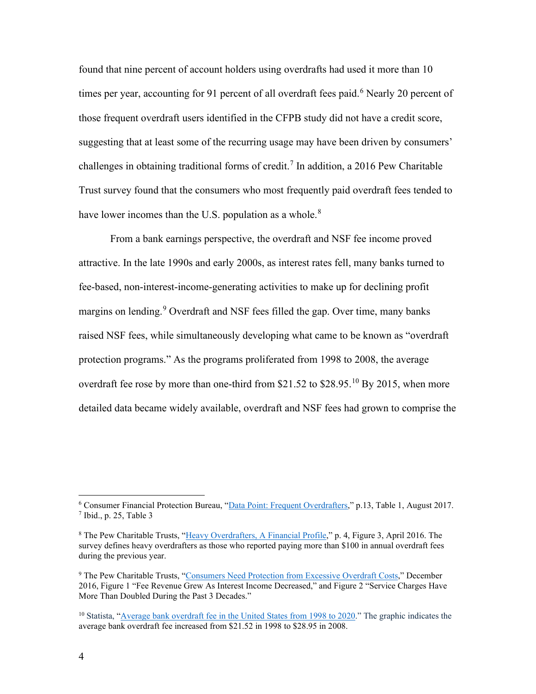found that nine percent of account holders using overdrafts had used it more than 10 times per year, accounting for 91 percent of all overdraft fees paid.<sup>[6](#page-3-0)</sup> Nearly 20 percent of those frequent overdraft users identified in the CFPB study did not have a credit score, suggesting that at least some of the recurring usage may have been driven by consumers' challenges in obtaining traditional forms of credit.<sup>[7](#page-3-1)</sup> In addition, a 2016 Pew Charitable Trust survey found that the consumers who most frequently paid overdraft fees tended to have lower incomes than the U.S. population as a whole.<sup>[8](#page-3-2)</sup>

From a bank earnings perspective, the overdraft and NSF fee income proved attractive. In the late 1990s and early 2000s, as interest rates fell, many banks turned to fee-based, non-interest-income-generating activities to make up for declining profit margins on lending.<sup>[9](#page-3-3)</sup> Overdraft and NSF fees filled the gap. Over time, many banks raised NSF fees, while simultaneously developing what came to be known as "overdraft protection programs." As the programs proliferated from 1998 to 2008, the average overdraft fee rose by more than one-third from \$21.52 to \$28.95.<sup>[10](#page-3-4)</sup> By 2015, when more detailed data became widely available, overdraft and NSF fees had grown to comprise the

<span id="page-3-1"></span><span id="page-3-0"></span><sup>6</sup> Consumer Financial Protection Bureau, ["Data Point: Frequent Overdrafters,"](https://www.consumerfinance.gov/data-research/research-reports/cfpb-data-point-frequent-overdrafters/) p.13, Table 1, August 2017.  $<sup>7</sup>$  Ibid., p. 25, Table 3</sup>

<span id="page-3-2"></span><sup>&</sup>lt;sup>8</sup> The Pew Charitable Trusts, ["Heavy Overdrafters, A Financial Profile,](https://www.pewtrusts.org/-/media/assets/2016/04/heavyoverdrafters.pdf)" p. 4, Figure 3, April 2016. The survey defines heavy overdrafters as those who reported paying more than \$100 in annual overdraft fees during the previous year.

<span id="page-3-3"></span><sup>9</sup> The Pew Charitable Trusts, ["Consumers Need Protection from Excessive Overdraft Costs,](https://www.pewtrusts.org/%7E/media/assets/2016/12/consumers_need_protection_from_excessive_overdraft_costs.pdf)" December 2016, Figure 1 "Fee Revenue Grew As Interest Income Decreased," and Figure 2 "Service Charges Have More Than Doubled During the Past 3 Decades."

<span id="page-3-4"></span><sup>&</sup>lt;sup>10</sup> Statista, ["Average bank overdraft fee in the United States from 1998 to 2020.](https://www.statista.com/statistics/325565/average-bank-overdraft-fee-usa/)" The graphic indicates the average bank overdraft fee increased from \$21.52 in 1998 to \$28.95 in 2008.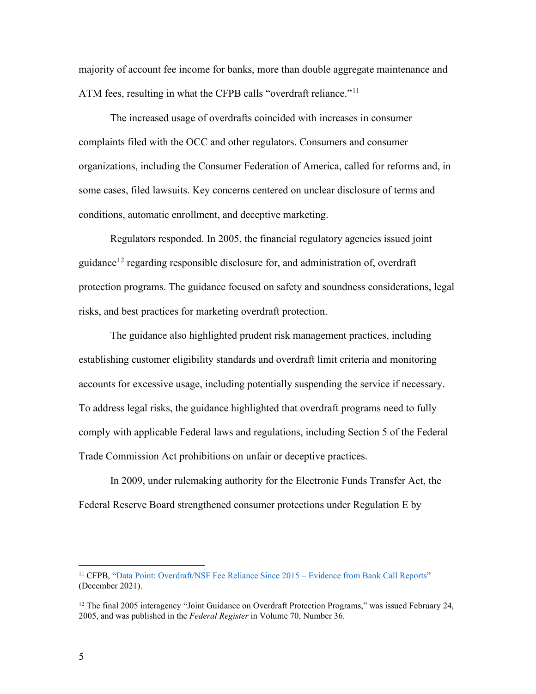majority of account fee income for banks, more than double aggregate maintenance and ATM fees, resulting in what the CFPB calls "overdraft reliance."<sup>[11](#page-4-0)</sup>

The increased usage of overdrafts coincided with increases in consumer complaints filed with the OCC and other regulators. Consumers and consumer organizations, including the Consumer Federation of America, called for reforms and, in some cases, filed lawsuits. Key concerns centered on unclear disclosure of terms and conditions, automatic enrollment, and deceptive marketing.

Regulators responded. In 2005, the financial regulatory agencies issued joint guidance<sup>[12](#page-4-1)</sup> regarding responsible disclosure for, and administration of, overdraft protection programs. The guidance focused on safety and soundness considerations, legal risks, and best practices for marketing overdraft protection.

The guidance also highlighted prudent risk management practices, including establishing customer eligibility standards and overdraft limit criteria and monitoring accounts for excessive usage, including potentially suspending the service if necessary. To address legal risks, the guidance highlighted that overdraft programs need to fully comply with applicable Federal laws and regulations, including Section 5 of the Federal Trade Commission Act prohibitions on unfair or deceptive practices.

In 2009, under rulemaking authority for the Electronic Funds Transfer Act, the Federal Reserve Board strengthened consumer protections under Regulation E by

<span id="page-4-0"></span><sup>&</sup>lt;sup>11</sup> CFPB, ["Data Point: Overdraft/NSF Fee Reliance Since 2015 –](https://files.consumerfinance.gov/f/documents/cfpb_overdraft-call_report_2021-12.pdf) Evidence from Bank Call Reports" (December 2021).

<span id="page-4-1"></span><sup>&</sup>lt;sup>12</sup> The final 2005 interagency "Joint Guidance on Overdraft Protection Programs," was issued February 24, 2005, and was published in the *Federal Register* in Volume 70, Number 36.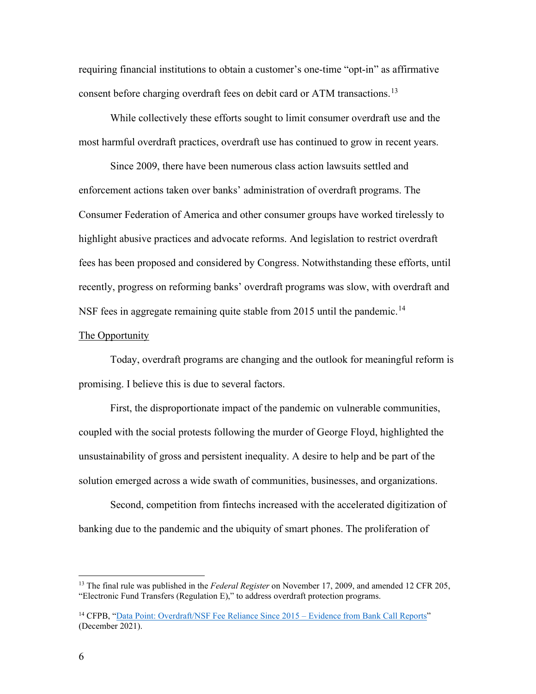requiring financial institutions to obtain a customer's one-time "opt-in" as affirmative consent before charging overdraft fees on debit card or ATM transactions.<sup>[13](#page-5-0)</sup>

While collectively these efforts sought to limit consumer overdraft use and the most harmful overdraft practices, overdraft use has continued to grow in recent years.

Since 2009, there have been numerous class action lawsuits settled and enforcement actions taken over banks' administration of overdraft programs. The Consumer Federation of America and other consumer groups have worked tirelessly to highlight abusive practices and advocate reforms. And legislation to restrict overdraft fees has been proposed and considered by Congress. Notwithstanding these efforts, until recently, progress on reforming banks' overdraft programs was slow, with overdraft and NSF fees in aggregate remaining quite stable from 2015 until the pandemic.<sup>[14](#page-5-1)</sup>

#### The Opportunity

Today, overdraft programs are changing and the outlook for meaningful reform is promising. I believe this is due to several factors.

First, the disproportionate impact of the pandemic on vulnerable communities, coupled with the social protests following the murder of George Floyd, highlighted the unsustainability of gross and persistent inequality. A desire to help and be part of the solution emerged across a wide swath of communities, businesses, and organizations.

Second, competition from fintechs increased with the accelerated digitization of banking due to the pandemic and the ubiquity of smart phones. The proliferation of

<span id="page-5-0"></span><sup>&</sup>lt;sup>13</sup> The final rule was published in the *Federal Register* on November 17, 2009, and amended 12 CFR 205, "Electronic Fund Transfers (Regulation E)," to address overdraft protection programs.

<span id="page-5-1"></span><sup>&</sup>lt;sup>14</sup> CFPB, ["Data Point: Overdraft/NSF Fee Reliance Since 2015 –](https://files.consumerfinance.gov/f/documents/cfpb_overdraft-call_report_2021-12.pdf) Evidence from Bank Call Reports" (December 2021).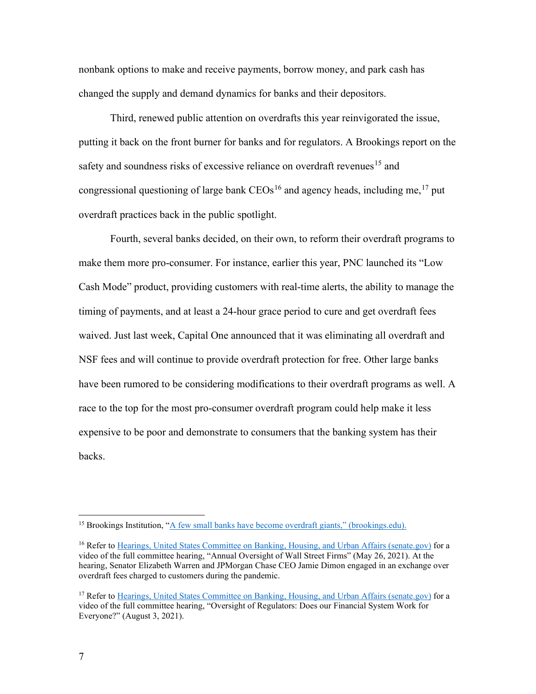nonbank options to make and receive payments, borrow money, and park cash has changed the supply and demand dynamics for banks and their depositors.

Third, renewed public attention on overdrafts this year reinvigorated the issue, putting it back on the front burner for banks and for regulators. A Brookings report on the safety and soundness risks of excessive reliance on overdraft revenues<sup>[15](#page-6-0)</sup> and congressional questioning of large bank  $CEOs<sup>16</sup>$  $CEOs<sup>16</sup>$  $CEOs<sup>16</sup>$  and agency heads, including me,  $^{17}$  $^{17}$  $^{17}$  put overdraft practices back in the public spotlight.

Fourth, several banks decided, on their own, to reform their overdraft programs to make them more pro-consumer. For instance, earlier this year, PNC launched its "Low Cash Mode" product, providing customers with real-time alerts, the ability to manage the timing of payments, and at least a 24-hour grace period to cure and get overdraft fees waived. Just last week, Capital One announced that it was eliminating all overdraft and NSF fees and will continue to provide overdraft protection for free. Other large banks have been rumored to be considering modifications to their overdraft programs as well. A race to the top for the most pro-consumer overdraft program could help make it less expensive to be poor and demonstrate to consumers that the banking system has their backs.

<span id="page-6-0"></span><sup>&</sup>lt;sup>15</sup> Brookings Institution, ["A few small banks have become overdraft giants,"](https://www.brookings.edu/opinions/a-few-small-banks-have-become-overdraft-giants/) (brookings.edu).

<span id="page-6-1"></span><sup>&</sup>lt;sup>16</sup> Refer to [Hearings, United States Committee on Banking, Housing, and Urban Affairs \(senate.gov\)](https://www.banking.senate.gov/hearings/annual-oversight-of-wall-street-firms) for a video of the full committee hearing, "Annual Oversight of Wall Street Firms" (May 26, 2021). At the hearing, Senator Elizabeth Warren and JPMorgan Chase CEO Jamie Dimon engaged in an exchange over overdraft fees charged to customers during the pandemic.

<span id="page-6-2"></span><sup>&</sup>lt;sup>17</sup> Refer to [Hearings, United States Committee on Banking, Housing, and Urban Affairs \(senate.gov\)](https://www.banking.senate.gov/hearings/oversight-of-regulators-does-our-financial-system-work-for-everyone) for a video of the full committee hearing, "Oversight of Regulators: Does our Financial System Work for Everyone?" (August 3, 2021).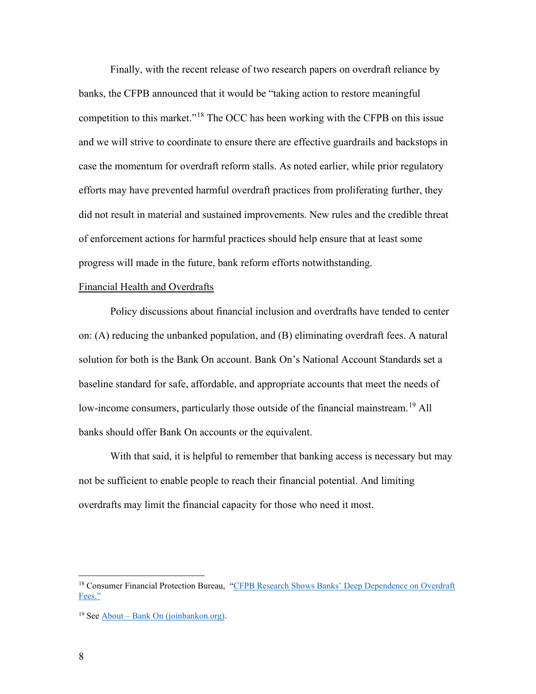Finally, with the recent release of two research papers on overdraft reliance by banks, the CFPB announced that it would be "taking action to restore meaningful competition to this market."[18](#page-7-0) The OCC has been working with the CFPB on this issue and we will strive to coordinate to ensure there are effective guardrails and backstops in case the momentum for overdraft reform stalls. As noted earlier, while prior regulatory efforts may have prevented harmful overdraft practices from proliferating further, they did not result in material and sustained improvements. New rules and the credible threat of enforcement actions for harmful practices should help ensure that at least some progress will made in the future, bank reform efforts notwithstanding.

### Financial Health and Overdrafts

Policy discussions about financial inclusion and overdrafts have tended to center on: (A) reducing the unbanked population, and (B) eliminating overdraft fees. A natural solution for both is the Bank On account. Bank On's National Account Standards set a baseline standard for safe, affordable, and appropriate accounts that meet the needs of low-income consumers, particularly those outside of the financial mainstream.<sup>[19](#page-7-1)</sup> All banks should offer Bank On accounts or the equivalent.

With that said, it is helpful to remember that banking access is necessary but may not be sufficient to enable people to reach their financial potential. And limiting overdrafts may limit the financial capacity for those who need it most.

<span id="page-7-0"></span><sup>&</sup>lt;sup>18</sup> Consumer Financial Protection Bureau, "CFPB Research Shows Banks' Deep Dependence on Overdraft [Fees."](https://www.consumerfinance.gov/about-us/newsroom/cfpb-research-shows-banks-deep-dependence-on-overdraft-fees/)

<span id="page-7-1"></span><sup>&</sup>lt;sup>19</sup> See About – Bank [On \(joinbankon.org\).](https://joinbankon.org/about/)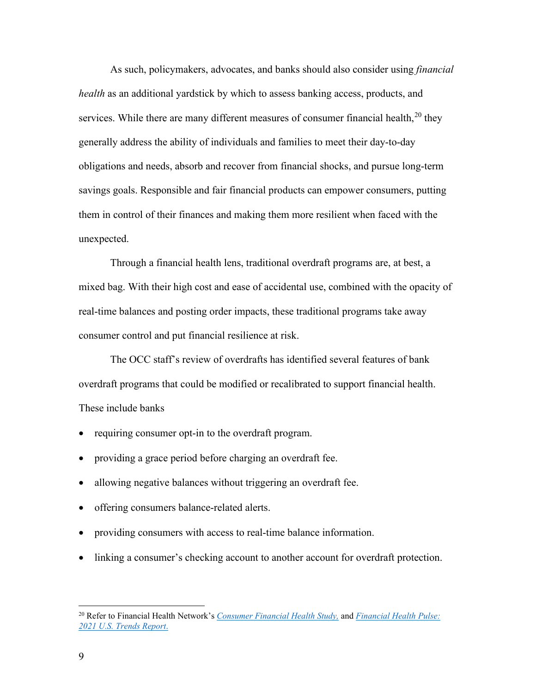As such, policymakers, advocates, and banks should also consider using *financial health* as an additional yardstick by which to assess banking access, products, and services. While there are many different measures of consumer financial health,  $20$  they generally address the ability of individuals and families to meet their day-to-day obligations and needs, absorb and recover from financial shocks, and pursue long-term savings goals. Responsible and fair financial products can empower consumers, putting them in control of their finances and making them more resilient when faced with the unexpected.

Through a financial health lens, traditional overdraft programs are, at best, a mixed bag. With their high cost and ease of accidental use, combined with the opacity of real-time balances and posting order impacts, these traditional programs take away consumer control and put financial resilience at risk.

The OCC staff's review of overdrafts has identified several features of bank overdraft programs that could be modified or recalibrated to support financial health. These include banks

- requiring consumer opt-in to the overdraft program.
- providing a grace period before charging an overdraft fee.
- allowing negative balances without triggering an overdraft fee.
- offering consumers balance-related alerts.
- providing consumers with access to real-time balance information.
- linking a consumer's checking account to another account for overdraft protection.

<span id="page-8-0"></span><sup>20</sup> Refer to Financial Health Network's *[Consumer Financial Health Study,](https://finhealthnetwork.org/research/consumer-financial-health-study/)* and *[Financial Health Pulse:](https://finhealthnetwork.org/research/financial-health-pulse-2021-u-s-trends/)  [2021 U.S. Trends Report](https://finhealthnetwork.org/research/financial-health-pulse-2021-u-s-trends/)*.